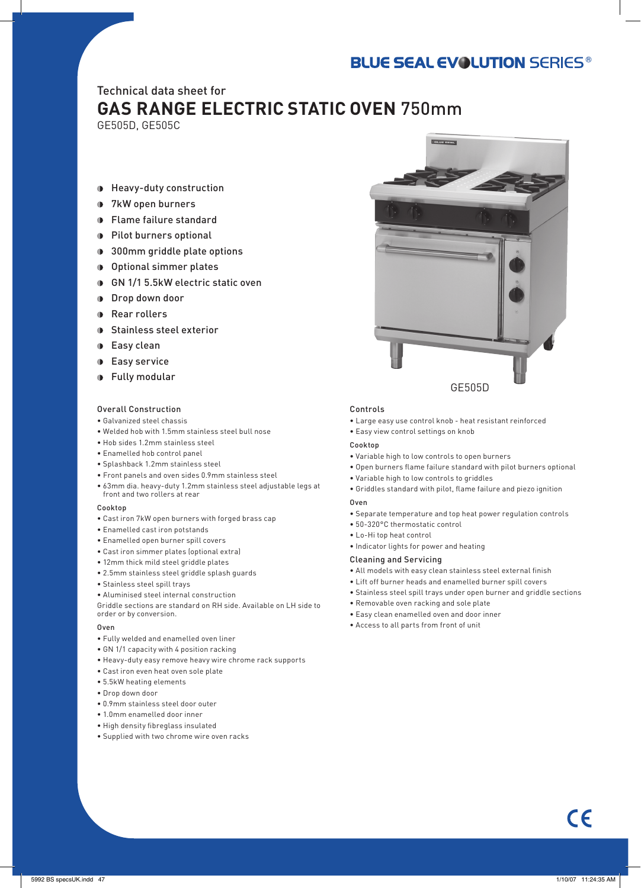# **BLUE SEAL EVOLUTION SERIES®**

### Technical data sheet for **GAS RANGE ELECTRIC STATIC OVEN** 750mm

GE505D, GE505C

- Heavy-duty construction
- **1** 7kW open burners
- Flame failure standard
- **Pilot burners optional**
- **300mm griddle plate options**
- Optional simmer plates
- GN 1/1 5.5kW electric static oven
- **Drop down door**
- **Rear rollers**
- **D** Stainless steel exterior
- **D** Easy clean
- **Easy service**
- Fully modular

#### Overall Construction

- Galvanized steel chassis
- Welded hob with 1.5mm stainless steel bull nose
- Hob sides 1.2mm stainless steel
- Enamelled hob control panel
- Splashback 1.2mm stainless steel
- • Front panels and oven sides 0.9mm stainless steel
- 63mm dia. heavy-duty 1.2mm stainless steel adjustable legs at front and two rollers at rear

#### Cookton

- Cast iron 7kW open burners with forged brass cap
- Enamelled cast iron potstands
- Enamelled open burner spill covers
- Cast iron simmer plates (optional extra)
- 12mm thick mild steel griddle plates
- 2.5mm stainless steel griddle splash guards
- Stainless steel spill trays
- Aluminised steel internal construction

Griddle sections are standard on RH side. Available on LH side to order or by conversion.

#### Oven

- Fully welded and enamelled oven liner
- GN 1/1 capacity with 4 position racking
- Heavy-duty easy remove heavy wire chrome rack supports
- Cast iron even heat oven sole plate
- 5.5kW heating elements
- Drop down door
- 0.9mm stainless steel door outer
- 1.0mm enamelled door inner
- High density fibreglass insulated
- Supplied with two chrome wire oven racks



#### Controls

- Large easy use control knob heat resistant reinforced
- Easy view control settings on knob

#### Cookton

- Variable high to low controls to open burners
- Open burners flame failure standard with pilot burners optional
- Variable high to low controls to griddles
- Griddles standard with pilot, flame failure and piezo ignition

#### Oven

- Separate temperature and top heat power regulation controls
- 50-320°C thermostatic control
- Lo-Hi top heat control
- Indicator lights for power and heating

#### Cleaning and Servicing

- All models with easy clean stainless steel external finish
- Lift off burner heads and enamelled burner spill covers
- Stainless steel spill trays under open burner and griddle sections
- Removable oven racking and sole plate
- Easy clean enamelled oven and door inner
- Access to all parts from front of unit